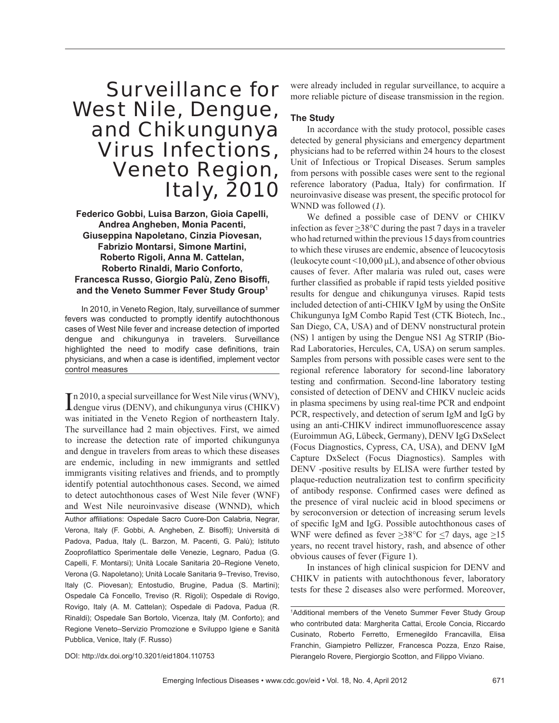## Surveillance for West Nile, Dengue, and Chikungunya Virus Infections, Veneto Region, Italy, 2010

**Federico Gobbi, Luisa Barzon, Gioia Capelli, Andrea Angheben, Monia Pacenti, Giuseppina Napoletano, Cinzia Piovesan, Fabrizio Montarsi, Simone Martini, Roberto Rigoli, Anna M. Cattelan, Roberto Rinaldi, Mario Conforto, Francesca Russo, Giorgio Palù, Zeno Bisoffi , and the Veneto Summer Fever Study Group1**

In 2010, in Veneto Region, Italy, surveillance of summer fevers was conducted to promptly identify autochthonous cases of West Nile fever and increase detection of imported dengue and chikungunya in travelers. Surveillance highlighted the need to modify case definitions, train physicians, and when a case is identified, implement vector control measures

In 2010, a special surveillance for West Nile virus (WNV), dengue virus (DENV), and chikungunya virus (CHIKV) n 2010, a special surveillance for West Nile virus (WNV), was initiated in the Veneto Region of northeastern Italy. The surveillance had 2 main objectives. First, we aimed to increase the detection rate of imported chikungunya and dengue in travelers from areas to which these diseases are endemic, including in new immigrants and settled immigrants visiting relatives and friends, and to promptly identify potential autochthonous cases. Second, we aimed to detect autochthonous cases of West Nile fever (WNF) and West Nile neuroinvasive disease (WNND), which Author affiliations: Ospedale Sacro Cuore-Don Calabria, Negrar, Verona, Italy (F. Gobbi, A. Angheben, Z. Bisoffi); Università di Padova, Padua, Italy (L. Barzon, M. Pacenti, G. Palù); Istituto Zooprofilattico Sperimentale delle Venezie, Legnaro, Padua (G. Capelli, F. Montarsi); Unità Locale Sanitaria 20–Regione Veneto, Verona (G. Napoletano); Unità Locale Sanitaria 9–Treviso, Treviso, Italy (C. Piovesan); Entostudio, Brugine, Padua (S. Martini); Ospedale Cà Foncello, Treviso (R. Rigoli); Ospedale di Rovigo, Rovigo, Italy (A. M. Cattelan); Ospedale di Padova, Padua (R. Rinaldi); Ospedale San Bortolo, Vicenza, Italy (M. Conforto); and Regione Veneto–Servizio Promozione e Sviluppo Igiene e Sanità Pubblica, Venice, Italy (F. Russo)

were already included in regular surveillance, to acquire a more reliable picture of disease transmission in the region.

### **The Study**

In accordance with the study protocol, possible cases detected by general physicians and emergency department physicians had to be referred within 24 hours to the closest Unit of Infectious or Tropical Diseases. Serum samples from persons with possible cases were sent to the regional reference laboratory (Padua, Italy) for confirmation. If neuroinvasive disease was present, the specific protocol for WNND was followed (*1*).

We defined a possible case of DENV or CHIKV infection as fever >38°C during the past 7 days in a traveler who had returned within the previous 15 days from countries to which these viruses are endemic, absence of leucocytosis (leukocyte count  $\leq 10,000 \,\mu$ L), and absence of other obvious causes of fever. After malaria was ruled out, cases were further classified as probable if rapid tests yielded positive results for dengue and chikungunya viruses. Rapid tests included detection of anti-CHIKV IgM by using the OnSite Chikungunya IgM Combo Rapid Test (CTK Biotech, Inc., San Diego, CA, USA) and of DENV nonstructural protein (NS) 1 antigen by using the Dengue NS1 Ag STRIP (Bio-Rad Laboratories, Hercules, CA, USA) on serum samples. Samples from persons with possible cases were sent to the regional reference laboratory for second-line laboratory testing and confirmation. Second-line laboratory testing consisted of detection of DENV and CHIKV nucleic acids in plasma specimens by using real-time PCR and endpoint PCR, respectively, and detection of serum IgM and IgG by using an anti-CHIKV indirect immunofluorescence assay (Euroimmun AG, Lübeck, Germany), DENV IgG DxSelect (Focus Diagnostics, Cypress, CA, USA), and DENV IgM Capture DxSelect (Focus Diagnostics). Samples with DENV -positive results by ELISA were further tested by plaque-reduction neutralization test to confirm specificity of antibody response. Confirmed cases were defined as the presence of viral nucleic acid in blood specimens or by seroconversion or detection of increasing serum levels of specific IgM and IgG. Possible autochthonous cases of WNF were defined as fever  $>38^{\circ}$ C for  $<$ 7 days, age  $>15$ years, no recent travel history, rash, and absence of other obvious causes of fever (Figure 1).

In instances of high clinical suspicion for DENV and CHIKV in patients with autochthonous fever, laboratory tests for these 2 diseases also were performed. Moreover,

DOI: http://dx.doi.org/10.3201/eid1804.110753

<sup>1</sup> Additional members of the Veneto Summer Fever Study Group who contributed data: Margherita Cattai, Ercole Concia, Riccardo Cusinato, Roberto Ferretto, Ermenegildo Francavilla, Elisa Franchin, Giampietro Pellizzer, Francesca Pozza, Enzo Raise, Pierangelo Rovere, Piergiorgio Scotton, and Filippo Viviano.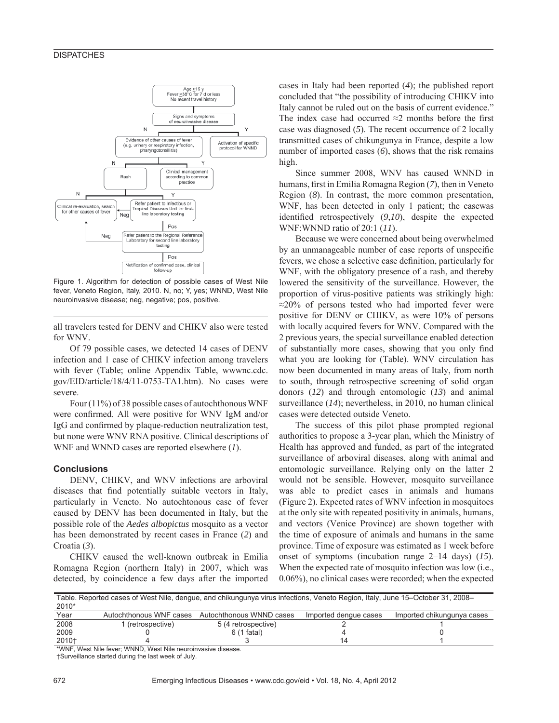

Figure 1. Algorithm for detection of possible cases of West Nile fever, Veneto Region, Italy, 2010. N, no; Y, yes; WNND, West Nile neuroinvasive disease; neg, negative; pos, positive.

all travelers tested for DENV and CHIKV also were tested for WNV.

Of 79 possible cases, we detected 14 cases of DENV infection and 1 case of CHIKV infection among travelers with fever (Table; online Appendix Table, wwwnc.cdc. gov/EID/article/18/4/11-0753-TA1.htm). No cases were severe.

Four (11%) of 38 possible cases of autochthonous WNF were confirmed. All were positive for WNV IgM and/or IgG and confirmed by plaque-reduction neutralization test, but none were WNV RNA positive. Clinical descriptions of WNF and WNND cases are reported elsewhere (*1*).

#### **Conclusions**

DENV, CHIKV, and WNV infections are arboviral diseases that find potentially suitable vectors in Italy, particularly in Veneto. No autochtonous case of fever caused by DENV has been documented in Italy, but the possible role of the *Aedes albopictus* mosquito as a vector has been demonstrated by recent cases in France (*2*) and Croatia (*3*).

CHIKV caused the well-known outbreak in Emilia Romagna Region (northern Italy) in 2007, which was detected, by coincidence a few days after the imported cases in Italy had been reported (*4*); the published report concluded that "the possibility of introducing CHIKV into Italy cannot be ruled out on the basis of current evidence." The index case had occurred  $\approx$ 2 months before the first case was diagnosed (*5*). The recent occurrence of 2 locally transmitted cases of chikungunya in France, despite a low number of imported cases (*6*), shows that the risk remains high.

Since summer 2008, WNV has caused WNND in humans, first in Emilia Romagna Region (7), then in Veneto Region (*8*). In contrast, the more common presentation, WNF, has been detected in only 1 patient; the casewas identified retrospectively (9,10), despite the expected WNF:WNND ratio of 20:1 (*11*).

Because we were concerned about being overwhelmed by an unmanageable number of case reports of unspecific fevers, we chose a selective case definition, particularly for WNF, with the obligatory presence of a rash, and thereby lowered the sensitivity of the surveillance. However, the proportion of virus-positive patients was strikingly high: ≈20% of persons tested who had imported fever were positive for DENV or CHIKV, as were 10% of persons with locally acquired fevers for WNV. Compared with the 2 previous years, the special surveillance enabled detection of substantially more cases, showing that you only find what you are looking for (Table). WNV circulation has now been documented in many areas of Italy, from north to south, through retrospective screening of solid organ donors (*12*) and through entomologic (*13*) and animal surveillance (*14*); nevertheless, in 2010, no human clinical cases were detected outside Veneto.

The success of this pilot phase prompted regional authorities to propose a 3-year plan, which the Ministry of Health has approved and funded, as part of the integrated surveillance of arboviral diseases, along with animal and entomologic surveillance. Relying only on the latter 2 would not be sensible. However, mosquito surveillance was able to predict cases in animals and humans (Figure 2). Expected rates of WNV infection in mosquitoes at the only site with repeated positivity in animals, humans, and vectors (Venice Province) are shown together with the time of exposure of animals and humans in the same province. Time of exposure was estimated as 1 week before onset of symptoms (incubation range 2–14 days) (*15*). When the expected rate of mosquito infection was low (i.e., 0.06%), no clinical cases were recorded; when the expected

Table. Reported cases of West Nile, dengue, and chikungunya virus infections, Veneto Region, Italy, June 15–October 31, 2008– 2010\*

| ----                                                                                                                                                                                                                              |                         |                          |                       |                            |
|-----------------------------------------------------------------------------------------------------------------------------------------------------------------------------------------------------------------------------------|-------------------------|--------------------------|-----------------------|----------------------------|
| Year                                                                                                                                                                                                                              | Autochthonous WNF cases | Autochthonous WNND cases | Imported dengue cases | Imported chikungunya cases |
| 2008                                                                                                                                                                                                                              | (retrospective)         | 5 (4 retrospective)      |                       |                            |
| 2009                                                                                                                                                                                                                              |                         | 6 (1 fatal)              |                       |                            |
| 2010†                                                                                                                                                                                                                             |                         |                          |                       |                            |
| $\frac{1}{2}$ . The contract of the contract of the contract of the contract of the contract of the contract of the contract of the contract of the contract of the contract of the contract of the contract of the contract of t |                         |                          |                       |                            |

\*WNF, West Nile fever; WNND, West Nile neuroinvasive disease.

†Surveillance started during the last week of July.